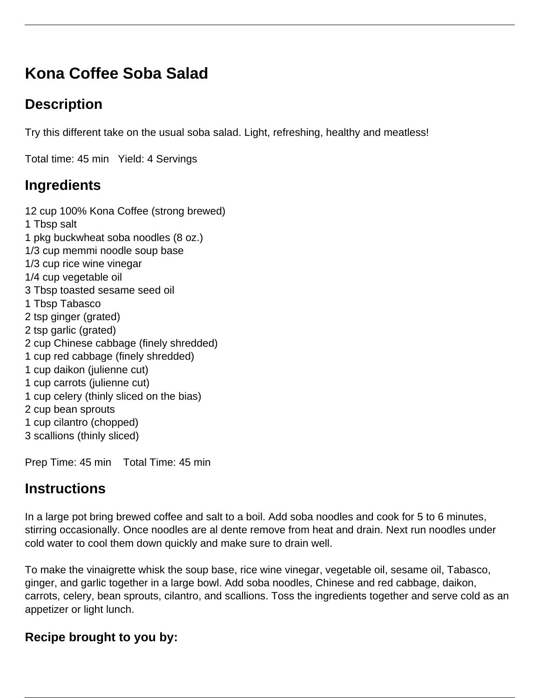# **Kona Coffee Soba Salad**

## **Description**

Try this different take on the usual soba salad. Light, refreshing, healthy and meatless!

Total time: 45 min Yield: 4 Servings

## **Ingredients**

12 cup 100% Kona Coffee (strong brewed) 1 Tbsp salt 1 pkg buckwheat soba noodles (8 oz.) 1/3 cup memmi noodle soup base 1/3 cup rice wine vinegar 1/4 cup vegetable oil 3 Tbsp toasted sesame seed oil 1 Tbsp Tabasco 2 tsp ginger (grated) 2 tsp garlic (grated) 2 cup Chinese cabbage (finely shredded) 1 cup red cabbage (finely shredded) 1 cup daikon (julienne cut) 1 cup carrots (julienne cut) 1 cup celery (thinly sliced on the bias) 2 cup bean sprouts 1 cup cilantro (chopped) 3 scallions (thinly sliced)

Prep Time: 45 min Total Time: 45 min

## **Instructions**

In a large pot bring brewed coffee and salt to a boil. Add soba noodles and cook for 5 to 6 minutes, stirring occasionally. Once noodles are al dente remove from heat and drain. Next run noodles under cold water to cool them down quickly and make sure to drain well.

To make the vinaigrette whisk the soup base, rice wine vinegar, vegetable oil, sesame oil, Tabasco, ginger, and garlic together in a large bowl. Add soba noodles, Chinese and red cabbage, daikon, carrots, celery, bean sprouts, cilantro, and scallions. Toss the ingredients together and serve cold as an appetizer or light lunch.

#### **Recipe brought to you by:**